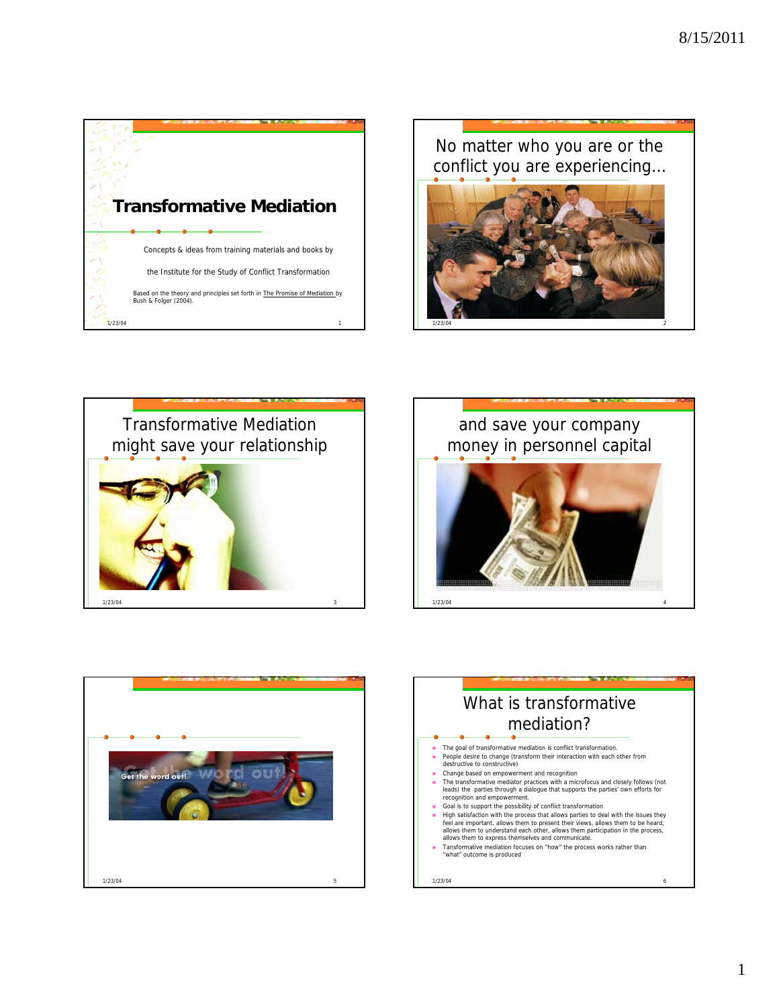

#### No matter who you are or the conflict you are experiencing…







 $1/23/04$  4



#### What is transformative mediation? The goal of transformative mediation is conflict transformation. People desire to change (transform their interaction with each other from destructive to constructive) Change based on empowerment and recognition The transformative mediator practices with a microfocus and closely follows (not<br>leads) the parties through a dialogue that supports the parties' own efforts for<br>recognition and empowerment.  $1/23/04$  6 Goal is to support the possibility of conflict transformation High satisfaction with the process that allows parties to deal with the issues they<br>feel are important, allows them to present their views, allows them to be heard,<br>allows them to understand each other, allows them partici allows them to express themselves and communicate. Tansformative mediation focuses on "how" the process works rather than "what" outcome is produced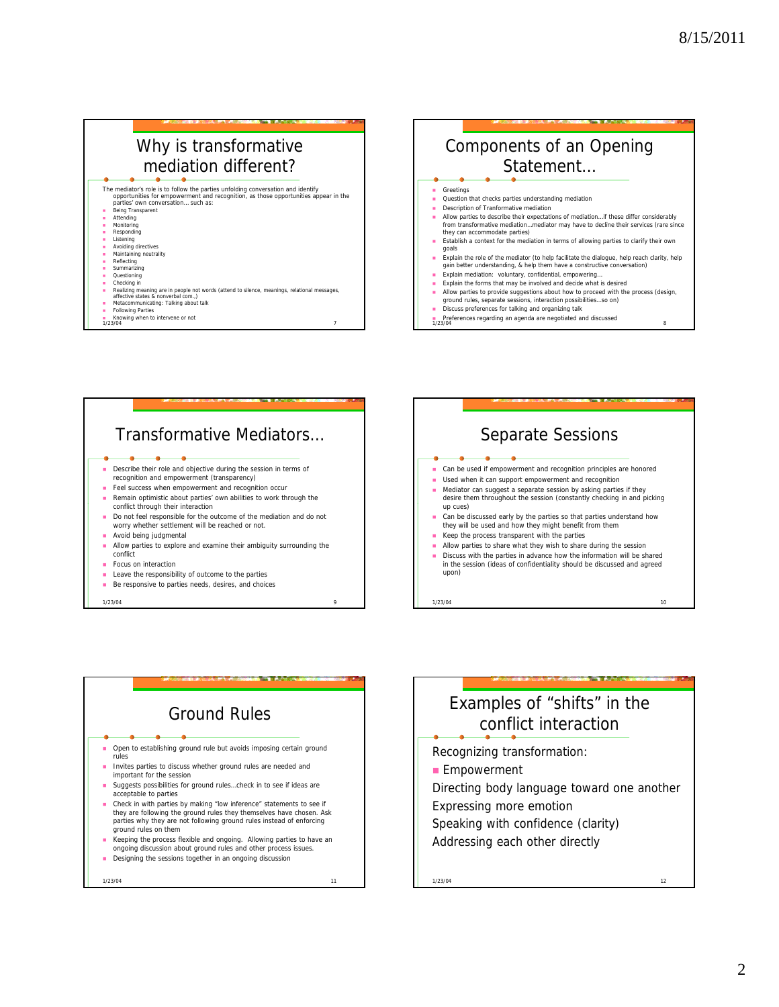| Why is transformative                                                                                                                                                                                                                                                                                                                                                                                                                                                                                                                                                                                                                                           | Components of an Opening                                                                                                                                                                                                                                                                                                                                                                                                                                                                                                                                                                                                                                                                                                                                                                                                                                                                                                                                                                                                                           |
|-----------------------------------------------------------------------------------------------------------------------------------------------------------------------------------------------------------------------------------------------------------------------------------------------------------------------------------------------------------------------------------------------------------------------------------------------------------------------------------------------------------------------------------------------------------------------------------------------------------------------------------------------------------------|----------------------------------------------------------------------------------------------------------------------------------------------------------------------------------------------------------------------------------------------------------------------------------------------------------------------------------------------------------------------------------------------------------------------------------------------------------------------------------------------------------------------------------------------------------------------------------------------------------------------------------------------------------------------------------------------------------------------------------------------------------------------------------------------------------------------------------------------------------------------------------------------------------------------------------------------------------------------------------------------------------------------------------------------------|
| mediation different?                                                                                                                                                                                                                                                                                                                                                                                                                                                                                                                                                                                                                                            | Statement                                                                                                                                                                                                                                                                                                                                                                                                                                                                                                                                                                                                                                                                                                                                                                                                                                                                                                                                                                                                                                          |
| The mediator's role is to follow the parties unfolding conversation and identify<br>opportunities for empowerment and recognition, as those opportunities appear in the<br>parties' own conversation such as:<br>Being Transparent<br>Attending<br>Monitorina<br>Responding<br>Listening<br>Avoiding directives<br>Maintaining neutrality<br>Reflecting<br>Summarizing<br>Questioning<br>Checking in<br>Realizing meaning are in people not words (attend to silence, meanings, relational messages,<br>affective states & nonverbal com.,)<br>Metacommunicating: Talking about talk<br><b>Following Parties</b><br>Knowing when to intervene or not<br>1/23/04 | Greetings<br>Question that checks parties understanding mediation<br>Description of Tranformative mediation<br>Allow parties to describe their expectations of mediationif these differ considerably<br>from transformative mediationmediator may have to decline their services (rare since<br>they can accommodate parties)<br>Establish a context for the mediation in terms of allowing parties to clarify their own<br>qoals<br>Explain the role of the mediator (to help facilitate the dialoque, help reach clarity, help<br>gain better understanding, & help them have a constructive conversation)<br>Explain mediation: voluntary, confidential, empowering<br>٠<br>Explain the forms that may be involved and decide what is desired<br>Allow parties to provide suggestions about how to proceed with the process (design,<br>ground rules, separate sessions, interaction possibilitiesso on)<br>Discuss preferences for talking and organizing talk<br>Preferences regarding an agenda are negotiated and discussed<br>1/23/04<br>я |



1/23/04 9



# Ground Rules

 Open to establishing ground rule but avoids imposing certain ground rules

- Invites parties to discuss whether ground rules are needed and important for the session
- Suggests possibilities for ground rules…check in to see if ideas are acceptable to parties
- Check in with parties by making "low inference" statements to see if they are following the ground rules they themselves have chosen. Ask parties why they are not following ground rules instead of enforcing ground rules on them
- Keeping the process flexible and ongoing. Allowing parties to have an ongoing discussion about ground rules and other process issues.
- **Designing the sessions together in an ongoing discussion**

 $1/23/04$  11

#### Examples of "shifts" in the conflict interaction

Recognizing transformation:

- **Empowerment**
- Directing body language toward one another Expressing more emotion
- Speaking with confidence (clarity)
- Addressing each other directly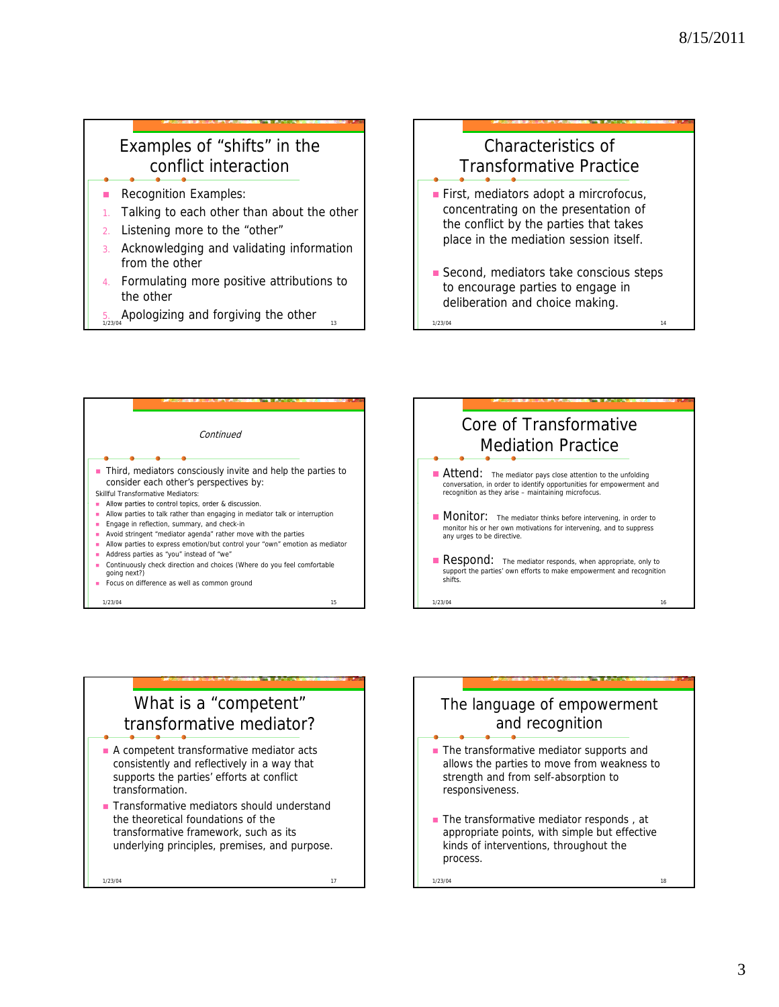#### Examples of "shifts" in the conflict interaction

- Recognition Examples:
- 1. Talking to each other than about the other
- 2. Listening more to the "other"
- 3. Acknowledging and validating information from the other
- 4. Formulating more positive attributions to the other
- $5.$  Apologizing and forgiving the other

## Characteristics of Transformative Practice First, mediators adopt a mircrofocus, concentrating on the presentation of

- the conflict by the parties that takes the conflict by the parties that place in the mediation session itself.
- Second, mediators take conscious steps to encourage parties to engage in deliberation and choice making.

 $1/23/04$  14





## What is a "competent" transformative mediator?

- A competent transformative mediator acts consistently and reflectively in a way that supports the parties' efforts at conflict transformation.
- Transformative mediators should understand the theoretical foundations of the transformative framework, such as its underlying principles, premises, and purpose.

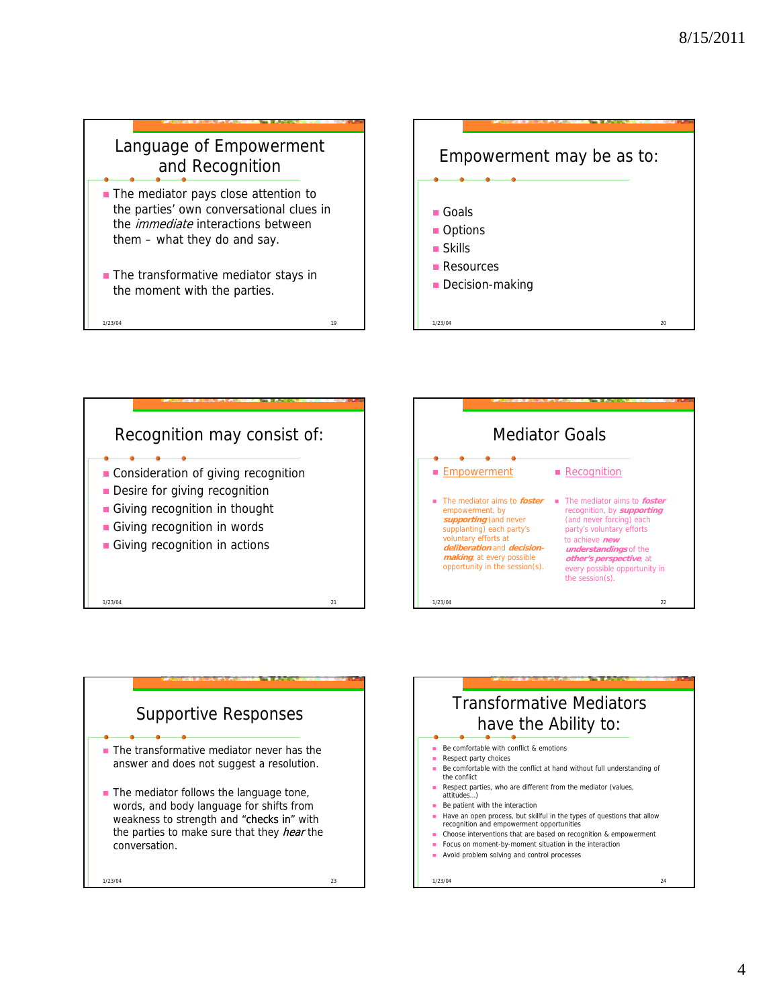#### Language of Empowerment and Recognition

- **The mediator pays close attention to** the parties' own conversational clues in the *immediate* interactions between them – what they do and say.
- **The transformative mediator stays in** the moment with the parties.

 $1/23/04$  19











- Be patient with the interaction
- Have an open process, but skillful in the types of questions that allow recognition and empowerment opportunities
- Choose interventions that are based on recognition & empowerment
- **Focus on moment-by-moment situation in the interaction**
- Avoid problem solving and control processes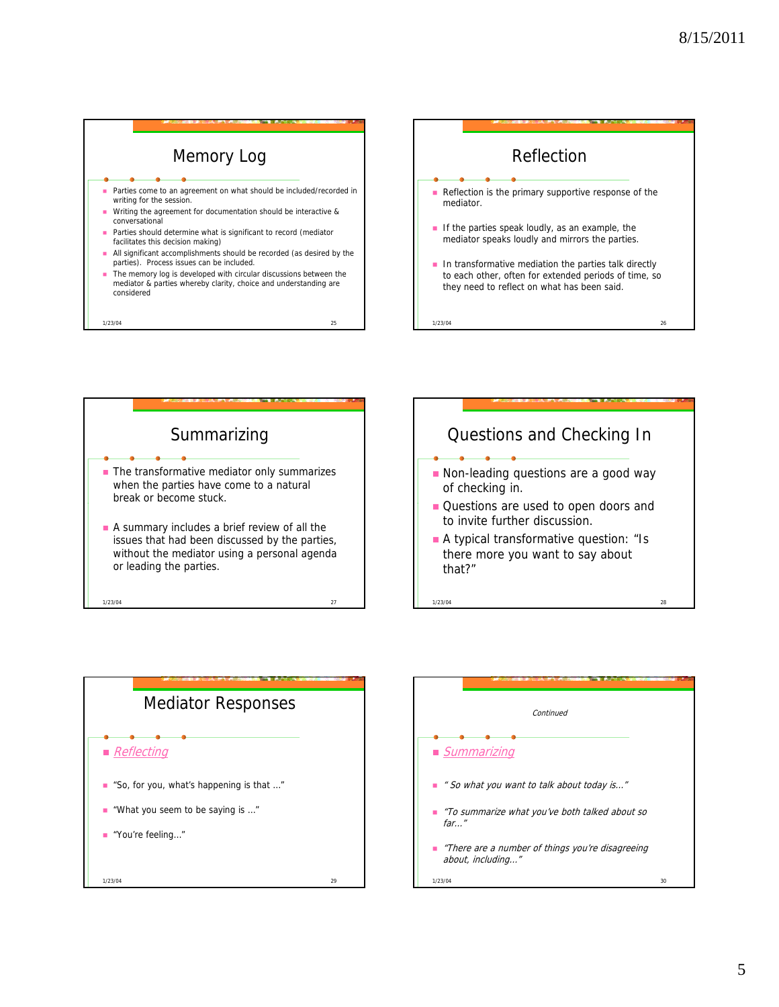





- Ouestions are used to open doors and<br>to invite further discussion.
- **A** typical transformative question: "Is there more you want to say about that?"





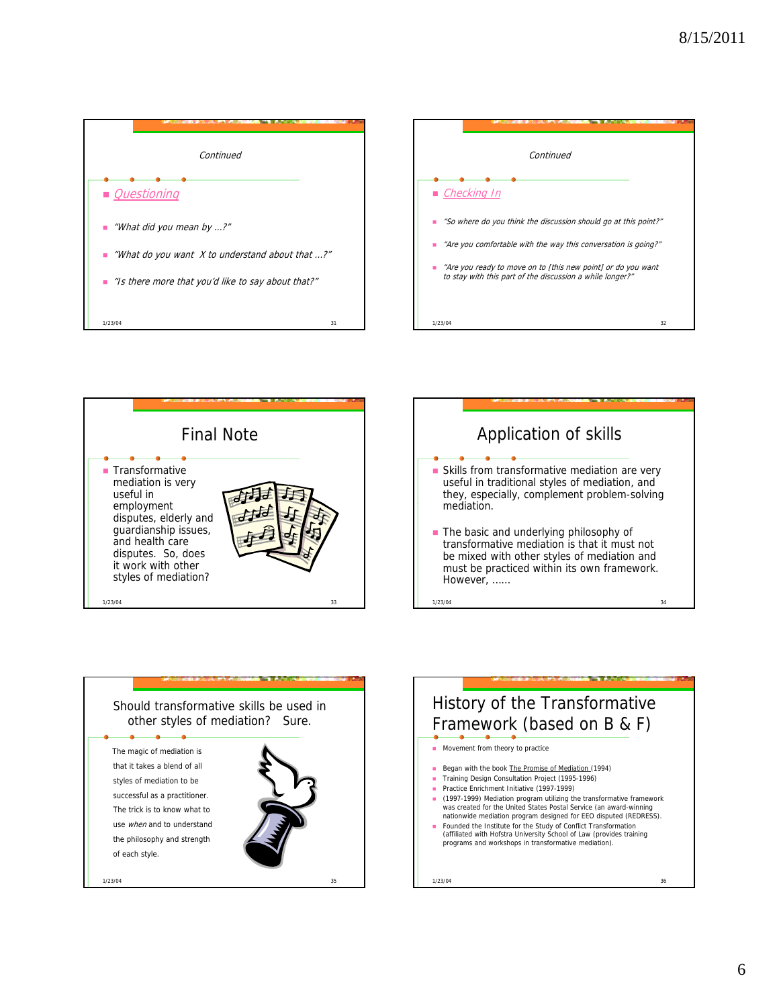